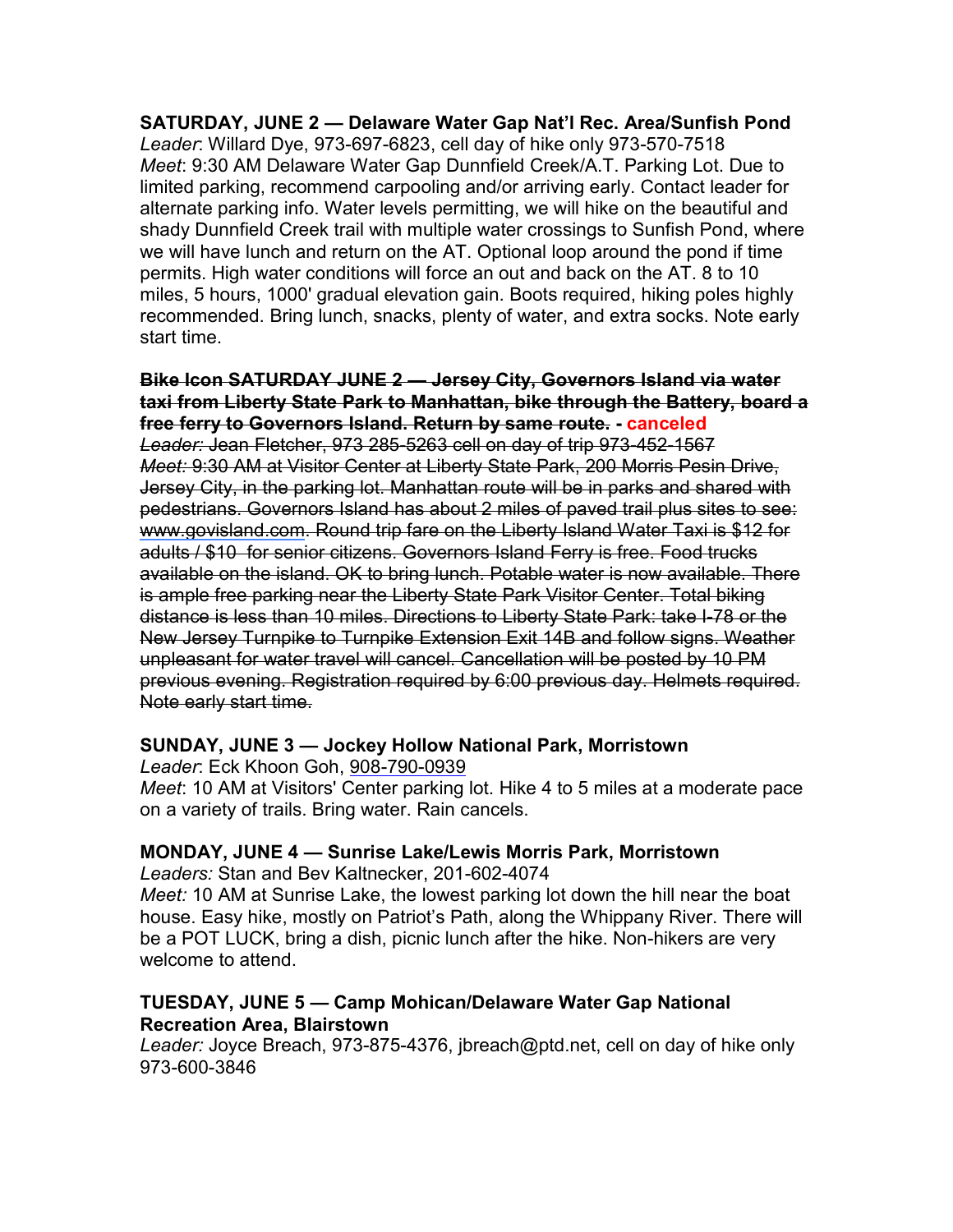SATURDAY, JUNE 2 — Delaware Water Gap Nat'l Rec. Area/Sunfish Pond Leader: Willard Dye, 973-697-6823, cell day of hike only 973-570-7518 Meet: 9:30 AM Delaware Water Gap Dunnfield Creek/A.T. Parking Lot. Due to limited parking, recommend carpooling and/or arriving early. Contact leader for alternate parking info. Water levels permitting, we will hike on the beautiful and shady Dunnfield Creek trail with multiple water crossings to Sunfish Pond, where we will have lunch and return on the AT. Optional loop around the pond if time permits. High water conditions will force an out and back on the AT. 8 to 10 miles, 5 hours, 1000' gradual elevation gain. Boots required, hiking poles highly recommended. Bring lunch, snacks, plenty of water, and extra socks. Note early start time.

#### Bike Icon SATURDAY JUNE 2 — Jersey City, Governors Island via water taxi from Liberty State Park to Manhattan, bike through the Battery, board a free ferry to Governors Island. Return by same route. - canceled

Leader: Jean Fletcher, 973 285-5263 cell on day of trip 973-452-1567 Meet: 9:30 AM at Visitor Center at Liberty State Park, 200 Morris Pesin Drive, Jersey City, in the parking lot. Manhattan route will be in parks and shared with pedestrians. Governors Island has about 2 miles of paved trail plus sites to see: www.govisland.com. Round trip fare on the Liberty Island Water Taxi is \$12 for adults / \$10 for senior citizens. Governors Island Ferry is free. Food trucks available on the island. OK to bring lunch. Potable water is now available. There is ample free parking near the Liberty State Park Visitor Center. Total biking distance is less than 10 miles. Directions to Liberty State Park: take I-78 or the New Jersey Turnpike to Turnpike Extension Exit 14B and follow signs. Weather unpleasant for water travel will cancel. Cancellation will be posted by 10 PM previous evening. Registration required by 6:00 previous day. Helmets required. Note early start time.

# SUNDAY, JUNE 3 — Jockey Hollow National Park, Morristown

Leader: Eck Khoon Goh, 908-790-0939

Meet: 10 AM at Visitors' Center parking lot. Hike 4 to 5 miles at a moderate pace on a variety of trails. Bring water. Rain cancels.

### MONDAY, JUNE 4 — Sunrise Lake/Lewis Morris Park, Morristown

Leaders: Stan and Bev Kaltnecker, 201-602-4074

Meet: 10 AM at Sunrise Lake, the lowest parking lot down the hill near the boat house. Easy hike, mostly on Patriot's Path, along the Whippany River. There will be a POT LUCK, bring a dish, picnic lunch after the hike. Non-hikers are very welcome to attend.

### TUESDAY, JUNE 5 — Camp Mohican/Delaware Water Gap National Recreation Area, Blairstown

Leader: Joyce Breach, 973-875-4376, jbreach@ptd.net, cell on day of hike only 973-600-3846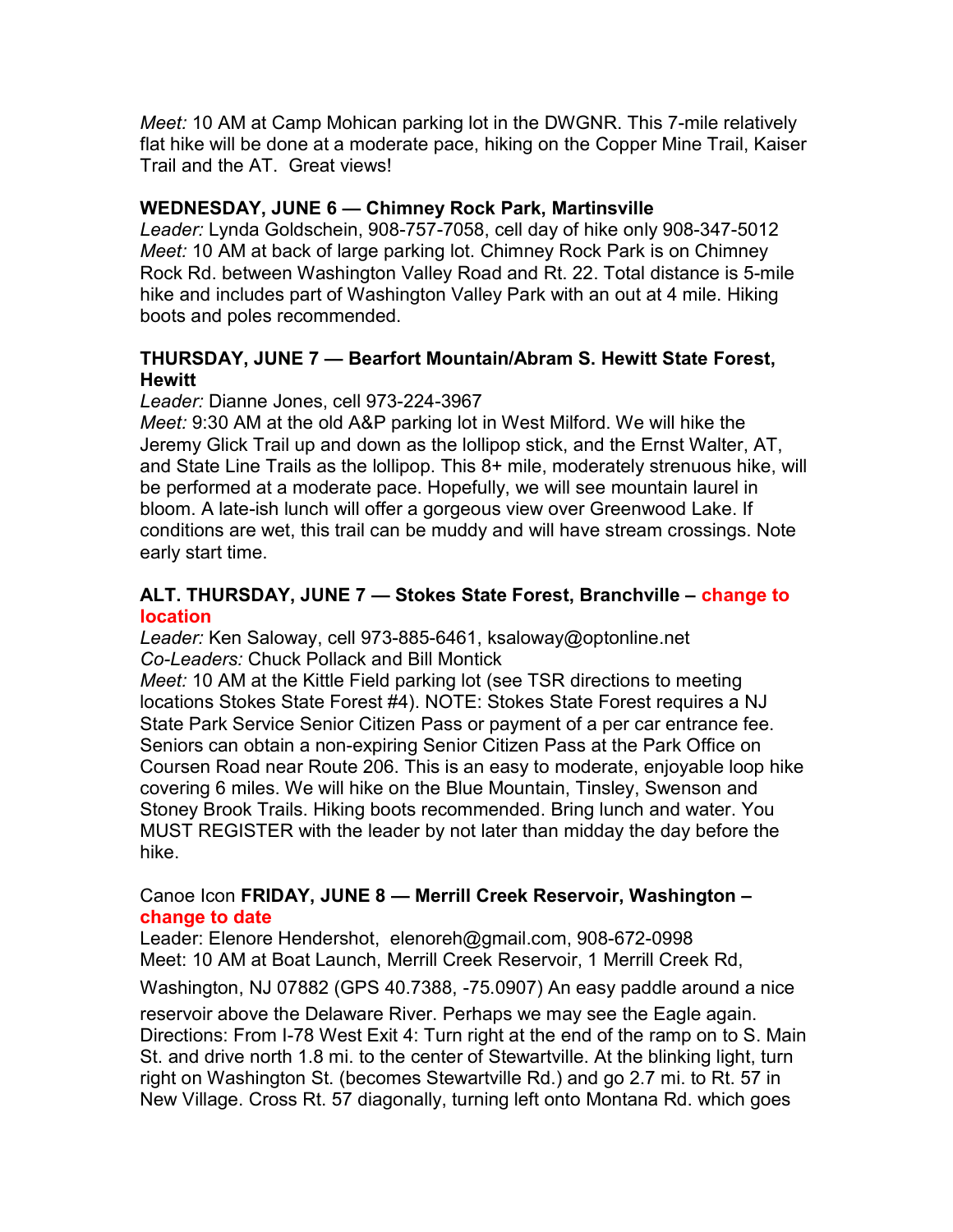Meet: 10 AM at Camp Mohican parking lot in the DWGNR. This 7-mile relatively flat hike will be done at a moderate pace, hiking on the Copper Mine Trail, Kaiser Trail and the AT. Great views!

#### WEDNESDAY, JUNE 6 — Chimney Rock Park, Martinsville

Leader: Lynda Goldschein, 908-757-7058, cell day of hike only 908-347-5012 Meet: 10 AM at back of large parking lot. Chimney Rock Park is on Chimney Rock Rd. between Washington Valley Road and Rt. 22. Total distance is 5-mile hike and includes part of Washington Valley Park with an out at 4 mile. Hiking boots and poles recommended.

#### THURSDAY, JUNE 7 — Bearfort Mountain/Abram S. Hewitt State Forest, **Hewitt**

Leader: Dianne Jones, cell 973-224-3967

Meet: 9:30 AM at the old A&P parking lot in West Milford. We will hike the Jeremy Glick Trail up and down as the lollipop stick, and the Ernst Walter, AT, and State Line Trails as the lollipop. This 8+ mile, moderately strenuous hike, will be performed at a moderate pace. Hopefully, we will see mountain laurel in bloom. A late-ish lunch will offer a gorgeous view over Greenwood Lake. If conditions are wet, this trail can be muddy and will have stream crossings. Note early start time.

#### ALT. THURSDAY, JUNE 7 — Stokes State Forest, Branchville – change to location

Leader: Ken Saloway, cell 973-885-6461, ksaloway@optonline.net Co-Leaders: Chuck Pollack and Bill Montick

Meet: 10 AM at the Kittle Field parking lot (see TSR directions to meeting locations Stokes State Forest #4). NOTE: Stokes State Forest requires a NJ State Park Service Senior Citizen Pass or payment of a per car entrance fee. Seniors can obtain a non-expiring Senior Citizen Pass at the Park Office on Coursen Road near Route 206. This is an easy to moderate, enjoyable loop hike covering 6 miles. We will hike on the Blue Mountain, Tinsley, Swenson and Stoney Brook Trails. Hiking boots recommended. Bring lunch and water. You MUST REGISTER with the leader by not later than midday the day before the hike.

#### Canoe Icon FRIDAY, JUNE 8 — Merrill Creek Reservoir, Washington – change to date

Leader: Elenore Hendershot, elenoreh@gmail.com, 908-672-0998 Meet: 10 AM at Boat Launch, Merrill Creek Reservoir, 1 Merrill Creek Rd,

Washington, NJ 07882 (GPS 40.7388, -75.0907) An easy paddle around a nice

reservoir above the Delaware River. Perhaps we may see the Eagle again. Directions: From I-78 West Exit 4: Turn right at the end of the ramp on to S. Main St. and drive north 1.8 mi. to the center of Stewartville. At the blinking light, turn right on Washington St. (becomes Stewartville Rd.) and go 2.7 mi. to Rt. 57 in New Village. Cross Rt. 57 diagonally, turning left onto Montana Rd. which goes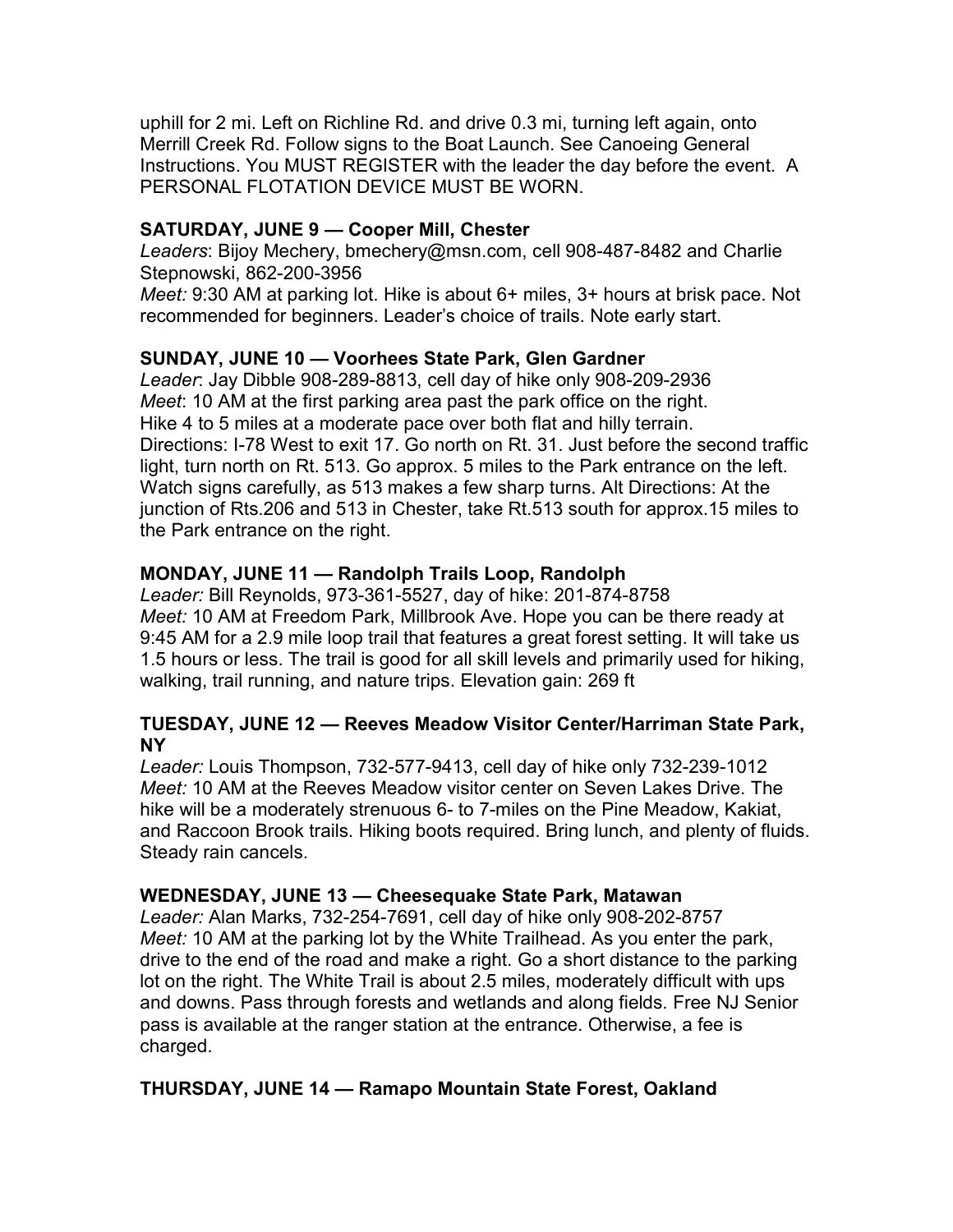uphill for 2 mi. Left on Richline Rd. and drive 0.3 mi, turning left again, onto Merrill Creek Rd. Follow signs to the Boat Launch. See Canoeing General Instructions. You MUST REGISTER with the leader the day before the event. A PERSONAL FLOTATION DEVICE MUST BE WORN.

#### SATURDAY, JUNE 9 — Cooper Mill, Chester

Leaders: Bijoy Mechery, bmechery@msn.com, cell 908-487-8482 and Charlie Stepnowski, 862-200-3956

Meet: 9:30 AM at parking lot. Hike is about 6+ miles, 3+ hours at brisk pace. Not recommended for beginners. Leader's choice of trails. Note early start.

#### SUNDAY, JUNE 10 — Voorhees State Park, Glen Gardner

Leader: Jay Dibble 908-289-8813, cell day of hike only 908-209-2936 Meet: 10 AM at the first parking area past the park office on the right. Hike 4 to 5 miles at a moderate pace over both flat and hilly terrain. Directions: I-78 West to exit 17. Go north on Rt. 31. Just before the second traffic light, turn north on Rt. 513. Go approx. 5 miles to the Park entrance on the left. Watch signs carefully, as 513 makes a few sharp turns. Alt Directions: At the junction of Rts.206 and 513 in Chester, take Rt.513 south for approx.15 miles to the Park entrance on the right.

#### MONDAY, JUNE 11 — Randolph Trails Loop, Randolph

Leader: Bill Reynolds, 973-361-5527, day of hike: 201-874-8758 Meet: 10 AM at Freedom Park, Millbrook Ave. Hope you can be there ready at 9:45 AM for a 2.9 mile loop trail that features a great forest setting. It will take us 1.5 hours or less. The trail is good for all skill levels and primarily used for hiking, walking, trail running, and nature trips. Elevation gain: 269 ft

#### TUESDAY, JUNE 12 — Reeves Meadow Visitor Center/Harriman State Park, NY

Leader: Louis Thompson, 732-577-9413, cell day of hike only 732-239-1012 Meet: 10 AM at the Reeves Meadow visitor center on Seven Lakes Drive. The hike will be a moderately strenuous 6- to 7-miles on the Pine Meadow, Kakiat, and Raccoon Brook trails. Hiking boots required. Bring lunch, and plenty of fluids. Steady rain cancels.

#### WEDNESDAY, JUNE 13 — Cheesequake State Park, Matawan

Leader: Alan Marks, 732-254-7691, cell day of hike only 908-202-8757 Meet: 10 AM at the parking lot by the White Trailhead. As you enter the park, drive to the end of the road and make a right. Go a short distance to the parking lot on the right. The White Trail is about 2.5 miles, moderately difficult with ups and downs. Pass through forests and wetlands and along fields. Free NJ Senior pass is available at the ranger station at the entrance. Otherwise, a fee is charged.

### THURSDAY, JUNE 14 — Ramapo Mountain State Forest, Oakland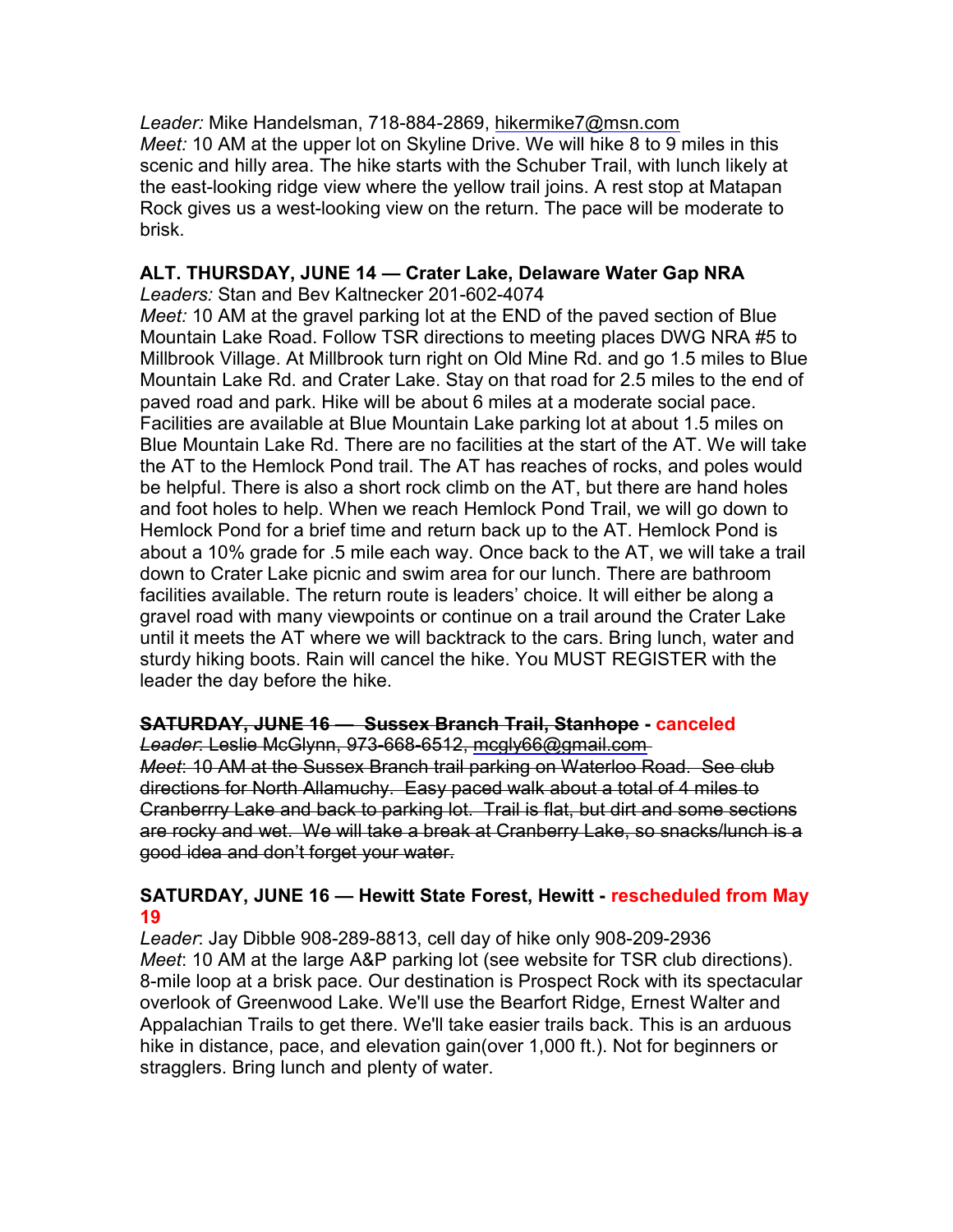Leader: Mike Handelsman, 718-884-2869, hikermike7@msn.com Meet: 10 AM at the upper lot on Skyline Drive. We will hike 8 to 9 miles in this scenic and hilly area. The hike starts with the Schuber Trail, with lunch likely at the east-looking ridge view where the yellow trail joins. A rest stop at Matapan Rock gives us a west-looking view on the return. The pace will be moderate to brisk.

## ALT. THURSDAY, JUNE 14 — Crater Lake, Delaware Water Gap NRA

Leaders: Stan and Bev Kaltnecker 201-602-4074

Meet: 10 AM at the gravel parking lot at the END of the paved section of Blue Mountain Lake Road. Follow TSR directions to meeting places DWG NRA #5 to Millbrook Village. At Millbrook turn right on Old Mine Rd. and go 1.5 miles to Blue Mountain Lake Rd. and Crater Lake. Stay on that road for 2.5 miles to the end of paved road and park. Hike will be about 6 miles at a moderate social pace. Facilities are available at Blue Mountain Lake parking lot at about 1.5 miles on Blue Mountain Lake Rd. There are no facilities at the start of the AT. We will take the AT to the Hemlock Pond trail. The AT has reaches of rocks, and poles would be helpful. There is also a short rock climb on the AT, but there are hand holes and foot holes to help. When we reach Hemlock Pond Trail, we will go down to Hemlock Pond for a brief time and return back up to the AT. Hemlock Pond is about a 10% grade for .5 mile each way. Once back to the AT, we will take a trail down to Crater Lake picnic and swim area for our lunch. There are bathroom facilities available. The return route is leaders' choice. It will either be along a gravel road with many viewpoints or continue on a trail around the Crater Lake until it meets the AT where we will backtrack to the cars. Bring lunch, water and sturdy hiking boots. Rain will cancel the hike. You MUST REGISTER with the leader the day before the hike.

#### SATURDAY, JUNE 16 — Sussex Branch Trail, Stanhope - canceled Leader: Leslie McGlynn, 973-668-6512, mcgly66@gmail.com

Meet: 10 AM at the Sussex Branch trail parking on Waterloo Road. See club directions for North Allamuchy. Easy paced walk about a total of 4 miles to Cranberrry Lake and back to parking lot. Trail is flat, but dirt and some sections are rocky and wet. We will take a break at Cranberry Lake, so snacks/lunch is a good idea and don't forget your water.

### SATURDAY, JUNE 16 — Hewitt State Forest, Hewitt - rescheduled from May 19

Leader: Jay Dibble 908-289-8813, cell day of hike only 908-209-2936 Meet: 10 AM at the large A&P parking lot (see website for TSR club directions). 8-mile loop at a brisk pace. Our destination is Prospect Rock with its spectacular overlook of Greenwood Lake. We'll use the Bearfort Ridge, Ernest Walter and Appalachian Trails to get there. We'll take easier trails back. This is an arduous hike in distance, pace, and elevation gain(over 1,000 ft.). Not for beginners or stragglers. Bring lunch and plenty of water.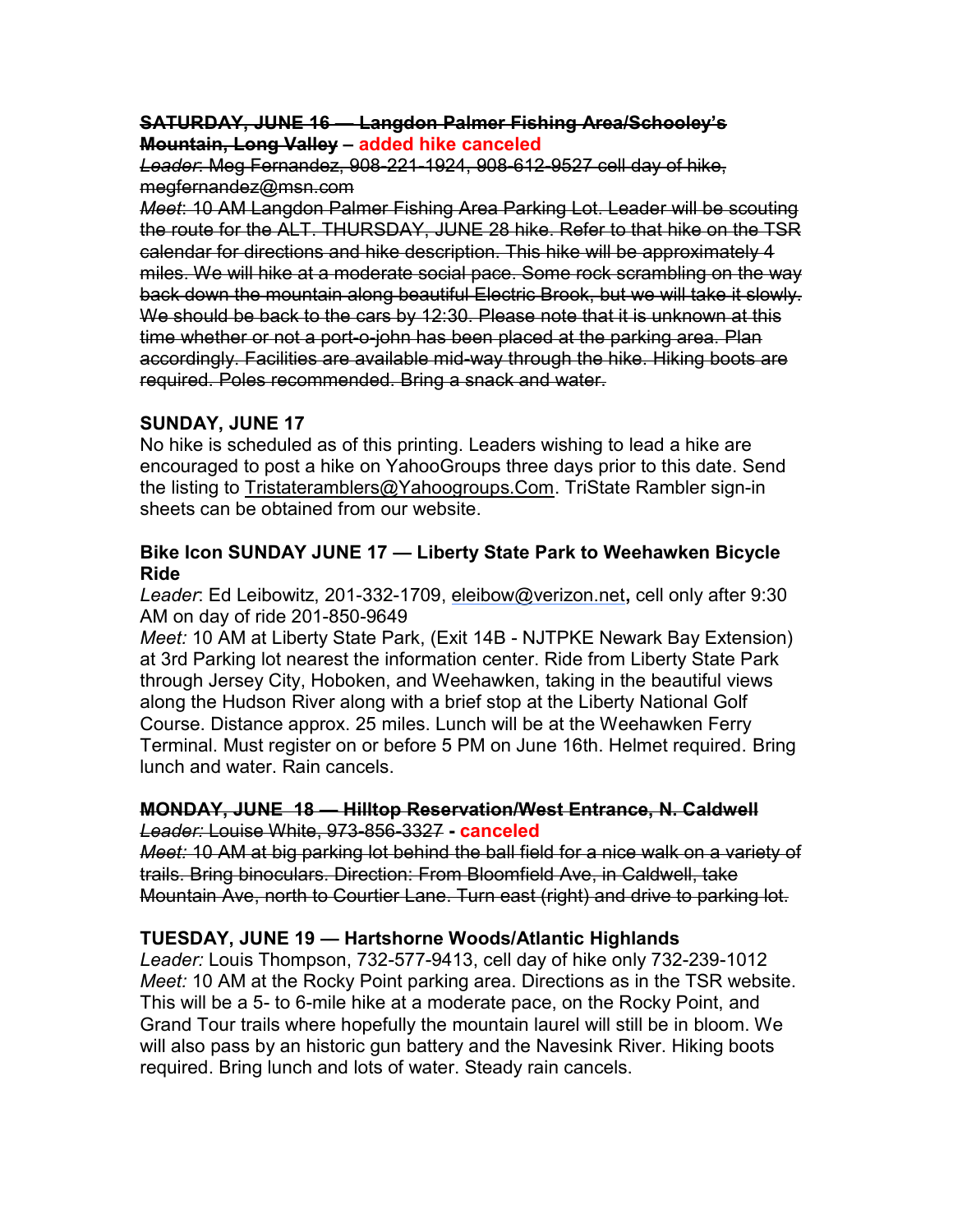#### SATURDAY, JUNE 16 — Langdon Palmer Fishing Area/Schooley's Mountain, Long Valley – added hike canceled

Leader: Meg Fernandez, 908-221-1924, 908-612-9527 cell day of hike, megfernandez@msn.com

Meet: 10 AM Langdon Palmer Fishing Area Parking Lot. Leader will be scouting the route for the ALT. THURSDAY, JUNE 28 hike. Refer to that hike on the TSR calendar for directions and hike description. This hike will be approximately 4 miles. We will hike at a moderate social pace. Some rock scrambling on the way back down the mountain along beautiful Electric Brook, but we will take it slowly. We should be back to the cars by 12:30. Please note that it is unknown at this time whether or not a port-o-john has been placed at the parking area. Plan accordingly. Facilities are available mid-way through the hike. Hiking boots are required. Poles recommended. Bring a snack and water.

# SUNDAY, JUNE 17

No hike is scheduled as of this printing. Leaders wishing to lead a hike are encouraged to post a hike on YahooGroups three days prior to this date. Send the listing to Tristateramblers@Yahoogroups.Com. TriState Rambler sign-in sheets can be obtained from our website.

#### Bike Icon SUNDAY JUNE 17 — Liberty State Park to Weehawken Bicycle Ride

Leader: Ed Leibowitz, 201-332-1709, eleibow@verizon.net, cell only after 9:30 AM on day of ride 201-850-9649

Meet: 10 AM at Liberty State Park, (Exit 14B - NJTPKE Newark Bay Extension) at 3rd Parking lot nearest the information center. Ride from Liberty State Park through Jersey City, Hoboken, and Weehawken, taking in the beautiful views along the Hudson River along with a brief stop at the Liberty National Golf Course. Distance approx. 25 miles. Lunch will be at the Weehawken Ferry Terminal. Must register on or before 5 PM on June 16th. Helmet required. Bring lunch and water. Rain cancels.

#### MONDAY, JUNE 18 — Hilltop Reservation/West Entrance, N. Caldwell Leader: Louise White, 973-856-3327 - canceled

Meet: 10 AM at big parking lot behind the ball field for a nice walk on a variety of trails. Bring binoculars. Direction: From Bloomfield Ave, in Caldwell, take Mountain Ave, north to Courtier Lane. Turn east (right) and drive to parking lot.

# TUESDAY, JUNE 19 — Hartshorne Woods/Atlantic Highlands

Leader: Louis Thompson, 732-577-9413, cell day of hike only 732-239-1012 Meet: 10 AM at the Rocky Point parking area. Directions as in the TSR website. This will be a 5- to 6-mile hike at a moderate pace, on the Rocky Point, and Grand Tour trails where hopefully the mountain laurel will still be in bloom. We will also pass by an historic gun battery and the Navesink River. Hiking boots required. Bring lunch and lots of water. Steady rain cancels.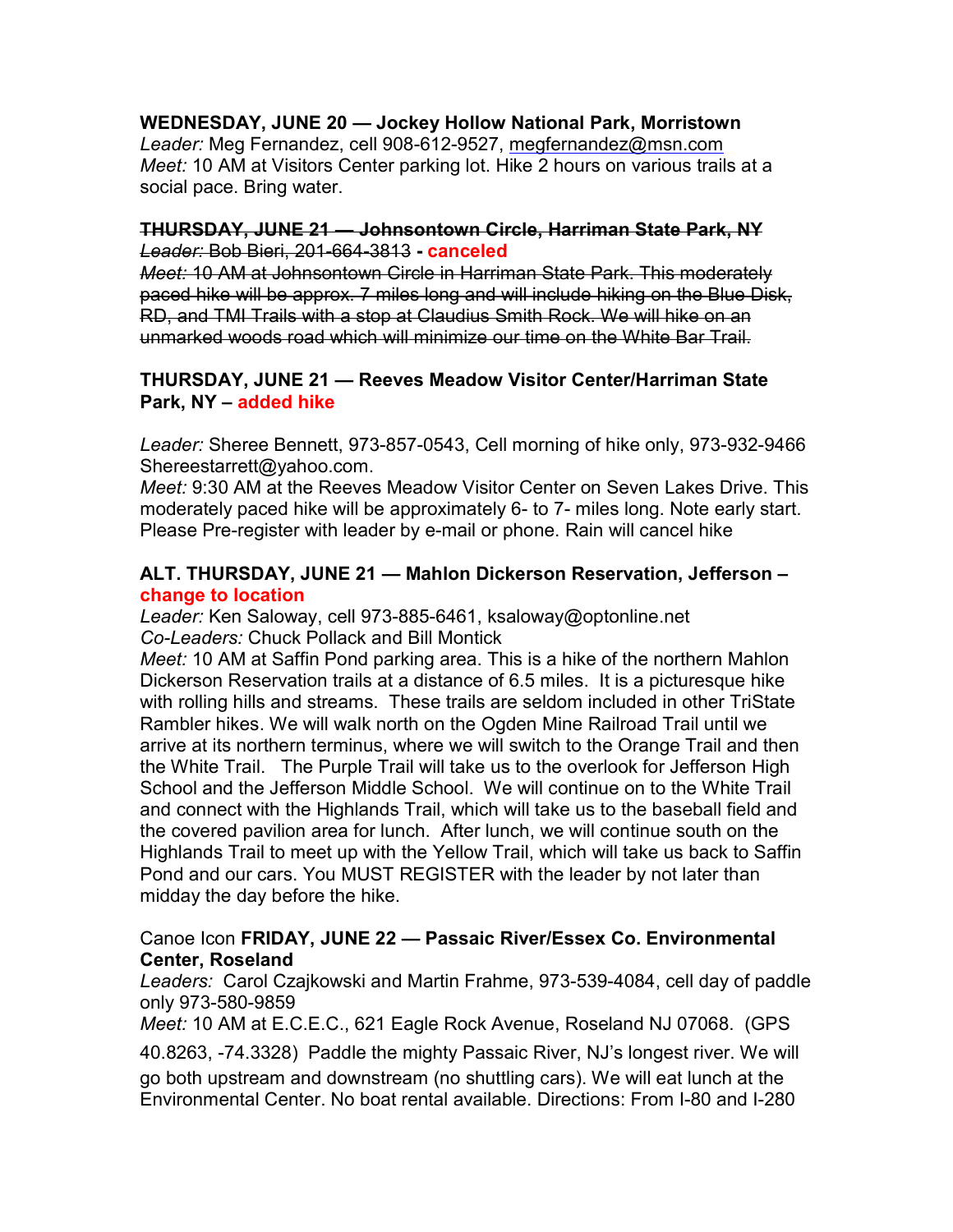## WEDNESDAY, JUNE 20 — Jockey Hollow National Park, Morristown

Leader: Meg Fernandez, cell 908-612-9527, megfernandez@msn.com Meet: 10 AM at Visitors Center parking lot. Hike 2 hours on various trails at a social pace. Bring water.

#### THURSDAY, JUNE 21 — Johnsontown Circle, Harriman State Park, NY Leader: Bob Bieri, 201-664-3813 - canceled

Meet: 10 AM at Johnsontown Circle in Harriman State Park. This moderately paced hike will be approx. 7 miles long and will include hiking on the Blue Disk, RD, and TMI Trails with a stop at Claudius Smith Rock. We will hike on an unmarked woods road which will minimize our time on the White Bar Trail.

#### THURSDAY, JUNE 21 — Reeves Meadow Visitor Center/Harriman State Park, NY – added hike

Leader: Sheree Bennett, 973-857-0543, Cell morning of hike only, 973-932-9466 Shereestarrett@yahoo.com.

Meet: 9:30 AM at the Reeves Meadow Visitor Center on Seven Lakes Drive. This moderately paced hike will be approximately 6- to 7- miles long. Note early start. Please Pre-register with leader by e-mail or phone. Rain will cancel hike

#### ALT. THURSDAY, JUNE 21 — Mahlon Dickerson Reservation, Jefferson – change to location

Leader: Ken Saloway, cell 973-885-6461, ksaloway@optonline.net Co-Leaders: Chuck Pollack and Bill Montick

Meet: 10 AM at Saffin Pond parking area. This is a hike of the northern Mahlon Dickerson Reservation trails at a distance of 6.5 miles. It is a picturesque hike with rolling hills and streams. These trails are seldom included in other TriState Rambler hikes. We will walk north on the Ogden Mine Railroad Trail until we arrive at its northern terminus, where we will switch to the Orange Trail and then the White Trail. The Purple Trail will take us to the overlook for Jefferson High School and the Jefferson Middle School. We will continue on to the White Trail and connect with the Highlands Trail, which will take us to the baseball field and the covered pavilion area for lunch. After lunch, we will continue south on the Highlands Trail to meet up with the Yellow Trail, which will take us back to Saffin Pond and our cars. You MUST REGISTER with the leader by not later than midday the day before the hike.

#### Canoe Icon FRIDAY, JUNE 22 — Passaic River/Essex Co. Environmental Center, Roseland

Leaders: Carol Czajkowski and Martin Frahme, 973-539-4084, cell day of paddle only 973-580-9859

Meet: 10 AM at E.C.E.C., 621 Eagle Rock Avenue, Roseland NJ 07068. (GPS

40.8263, -74.3328) Paddle the mighty Passaic River, NJ's longest river. We will

go both upstream and downstream (no shuttling cars). We will eat lunch at the Environmental Center. No boat rental available. Directions: From I-80 and I-280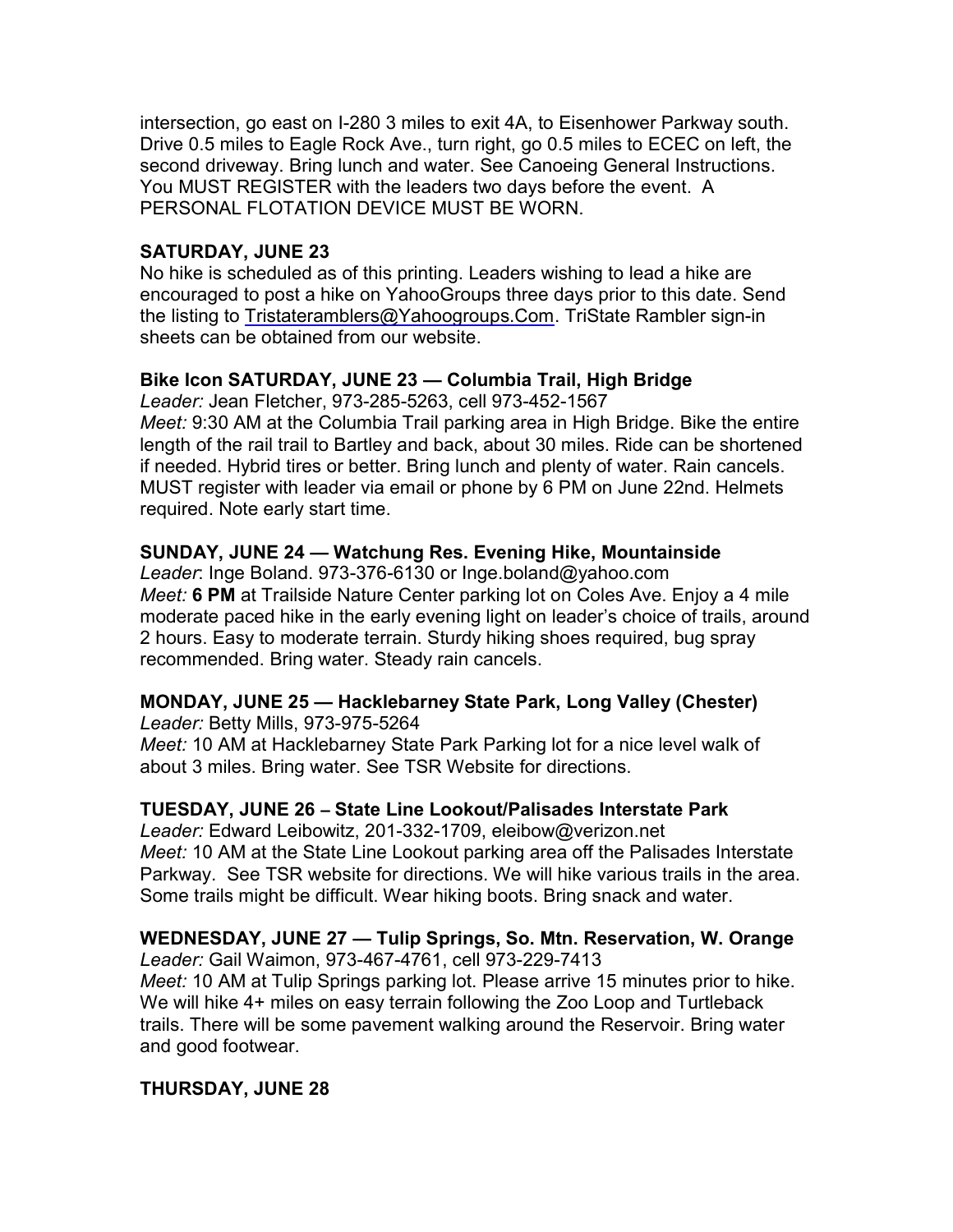intersection, go east on I-280 3 miles to exit 4A, to Eisenhower Parkway south. Drive 0.5 miles to Eagle Rock Ave., turn right, go 0.5 miles to ECEC on left, the second driveway. Bring lunch and water. See Canoeing General Instructions. You MUST REGISTER with the leaders two days before the event. A PERSONAL FLOTATION DEVICE MUST BE WORN.

#### SATURDAY, JUNE 23

No hike is scheduled as of this printing. Leaders wishing to lead a hike are encouraged to post a hike on YahooGroups three days prior to this date. Send the listing to Tristateramblers@Yahoogroups.Com. TriState Rambler sign-in sheets can be obtained from our website.

#### Bike Icon SATURDAY, JUNE 23 — Columbia Trail, High Bridge

Leader: Jean Fletcher, 973-285-5263, cell 973-452-1567 Meet: 9:30 AM at the Columbia Trail parking area in High Bridge. Bike the entire length of the rail trail to Bartley and back, about 30 miles. Ride can be shortened if needed. Hybrid tires or better. Bring lunch and plenty of water. Rain cancels. MUST register with leader via email or phone by 6 PM on June 22nd. Helmets required. Note early start time.

#### SUNDAY, JUNE 24 — Watchung Res. Evening Hike, Mountainside

Leader: Inge Boland. 973-376-6130 or Inge.boland@yahoo.com Meet: 6 PM at Trailside Nature Center parking lot on Coles Ave. Enjoy a 4 mile moderate paced hike in the early evening light on leader's choice of trails, around 2 hours. Easy to moderate terrain. Sturdy hiking shoes required, bug spray recommended. Bring water. Steady rain cancels.

#### MONDAY, JUNE 25 — Hacklebarney State Park, Long Valley (Chester) Leader: Betty Mills, 973-975-5264

Meet: 10 AM at Hacklebarney State Park Parking lot for a nice level walk of about 3 miles. Bring water. See TSR Website for directions.

#### TUESDAY, JUNE 26 – State Line Lookout/Palisades Interstate Park

Leader: Edward Leibowitz, 201-332-1709, eleibow@verizon.net Meet: 10 AM at the State Line Lookout parking area off the Palisades Interstate Parkway. See TSR website for directions. We will hike various trails in the area. Some trails might be difficult. Wear hiking boots. Bring snack and water.

# WEDNESDAY, JUNE 27 — Tulip Springs, So. Mtn. Reservation, W. Orange

Leader: Gail Waimon, 973-467-4761, cell 973-229-7413 Meet: 10 AM at Tulip Springs parking lot. Please arrive 15 minutes prior to hike. We will hike 4+ miles on easy terrain following the Zoo Loop and Turtleback trails. There will be some pavement walking around the Reservoir. Bring water and good footwear.

### THURSDAY, JUNE 28